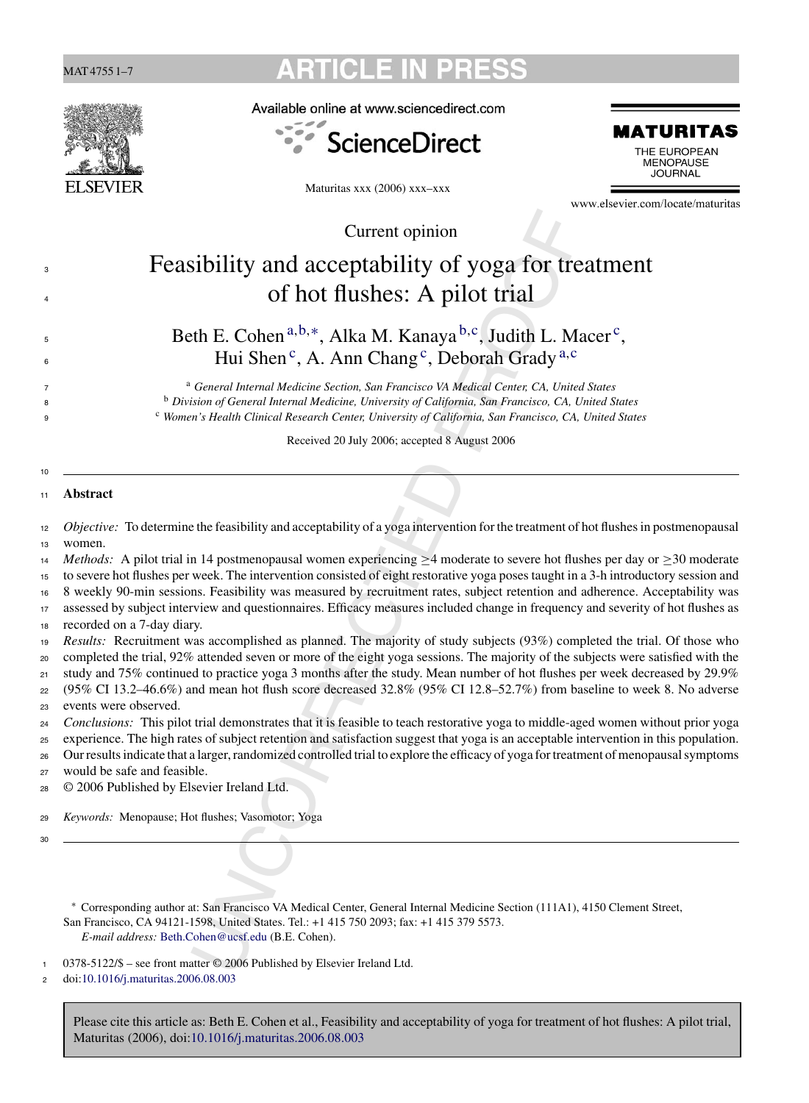|                | <b>ARTICLE IN</b><br><b>PRE</b><br>MAT 4755 1–7                                                                                                                                                                                                                                                                                          |                                                                                                                                                                                                                                                                              |                                                   |  |  |  |  |  |
|----------------|------------------------------------------------------------------------------------------------------------------------------------------------------------------------------------------------------------------------------------------------------------------------------------------------------------------------------------------|------------------------------------------------------------------------------------------------------------------------------------------------------------------------------------------------------------------------------------------------------------------------------|---------------------------------------------------|--|--|--|--|--|
|                |                                                                                                                                                                                                                                                                                                                                          | Available online at www.sciencedirect.com                                                                                                                                                                                                                                    |                                                   |  |  |  |  |  |
|                |                                                                                                                                                                                                                                                                                                                                          | <b>ScienceDirect</b>                                                                                                                                                                                                                                                         | MATURITAS<br>THE EUROPEAN<br>MENOPAUSE<br>JOURNAL |  |  |  |  |  |
|                | <b>SEVI</b>                                                                                                                                                                                                                                                                                                                              | Maturitas xxx (2006) xxx-xxx                                                                                                                                                                                                                                                 | www.elsevier.com/locate/maturitas                 |  |  |  |  |  |
|                |                                                                                                                                                                                                                                                                                                                                          | Current opinion                                                                                                                                                                                                                                                              |                                                   |  |  |  |  |  |
| 3              |                                                                                                                                                                                                                                                                                                                                          | Feasibility and acceptability of yoga for treatment                                                                                                                                                                                                                          |                                                   |  |  |  |  |  |
|                |                                                                                                                                                                                                                                                                                                                                          | of hot flushes: A pilot trial                                                                                                                                                                                                                                                |                                                   |  |  |  |  |  |
| $\overline{4}$ |                                                                                                                                                                                                                                                                                                                                          |                                                                                                                                                                                                                                                                              |                                                   |  |  |  |  |  |
| 5<br>6         | Beth E. Cohen <sup>a,b,*</sup> , Alka M. Kanaya <sup>b,c</sup> , Judith L. Macer <sup>c</sup> ,<br>Hui Shen <sup>c</sup> , A. Ann Chang <sup>c</sup> , Deborah Grady <sup>a,c</sup>                                                                                                                                                      |                                                                                                                                                                                                                                                                              |                                                   |  |  |  |  |  |
| 7<br>8<br>9    | <sup>a</sup> General Internal Medicine Section, San Francisco VA Medical Center, CA, United States<br><sup>b</sup> Division of General Internal Medicine, University of California, San Francisco, CA, United States<br><sup>c</sup> Women's Health Clinical Research Center, University of California, San Francisco, CA, United States |                                                                                                                                                                                                                                                                              |                                                   |  |  |  |  |  |
|                |                                                                                                                                                                                                                                                                                                                                          | Received 20 July 2006; accepted 8 August 2006                                                                                                                                                                                                                                |                                                   |  |  |  |  |  |
|                |                                                                                                                                                                                                                                                                                                                                          |                                                                                                                                                                                                                                                                              |                                                   |  |  |  |  |  |
| 10<br>11       | <b>Abstract</b>                                                                                                                                                                                                                                                                                                                          |                                                                                                                                                                                                                                                                              |                                                   |  |  |  |  |  |
| 12             |                                                                                                                                                                                                                                                                                                                                          | Objective: To determine the feasibility and acceptability of a yoga intervention for the treatment of hot flushes in postmenopausal                                                                                                                                          |                                                   |  |  |  |  |  |
| 13             | women.                                                                                                                                                                                                                                                                                                                                   |                                                                                                                                                                                                                                                                              |                                                   |  |  |  |  |  |
| 14<br>15       | <i>Methods:</i> A pilot trial in 14 postmenopausal women experiencing $\geq$ 4 moderate to severe hot flushes per day or $\geq$ 30 moderate<br>to severe hot flushes per week. The intervention consisted of eight restorative yoga poses taught in a 3-h introductory session and                                                       |                                                                                                                                                                                                                                                                              |                                                   |  |  |  |  |  |
| 16             |                                                                                                                                                                                                                                                                                                                                          | 8 weekly 90-min sessions. Feasibility was measured by recruitment rates, subject retention and adherence. Acceptability was                                                                                                                                                  |                                                   |  |  |  |  |  |
| 17             |                                                                                                                                                                                                                                                                                                                                          | assessed by subject interview and questionnaires. Efficacy measures included change in frequency and severity of hot flushes as                                                                                                                                              |                                                   |  |  |  |  |  |
| 18             | recorded on a 7-day diary.                                                                                                                                                                                                                                                                                                               | Results: Recruitment was accomplished as planned. The majority of study subjects (93%) completed the trial. Of those who                                                                                                                                                     |                                                   |  |  |  |  |  |
| 19<br>20       |                                                                                                                                                                                                                                                                                                                                          | completed the trial, 92% attended seven or more of the eight yoga sessions. The majority of the subjects were satisfied with the                                                                                                                                             |                                                   |  |  |  |  |  |
| 21             |                                                                                                                                                                                                                                                                                                                                          | study and 75% continued to practice yoga 3 months after the study. Mean number of hot flushes per week decreased by 29.9%                                                                                                                                                    |                                                   |  |  |  |  |  |
| 22             | (95% CI 13.2-46.6%) and mean hot flush score decreased 32.8% (95% CI 12.8-52.7%) from baseline to week 8. No adverse                                                                                                                                                                                                                     |                                                                                                                                                                                                                                                                              |                                                   |  |  |  |  |  |
| 23             |                                                                                                                                                                                                                                                                                                                                          | events were observed.                                                                                                                                                                                                                                                        |                                                   |  |  |  |  |  |
| 24<br>25       |                                                                                                                                                                                                                                                                                                                                          | Conclusions: This pilot trial demonstrates that it is feasible to teach restorative yoga to middle-aged women without prior yoga                                                                                                                                             |                                                   |  |  |  |  |  |
| 26             |                                                                                                                                                                                                                                                                                                                                          | experience. The high rates of subject retention and satisfaction suggest that yoga is an acceptable intervention in this population.<br>Our results indicate that a larger, randomized controlled trial to explore the efficacy of yoga for treatment of menopausal symptoms |                                                   |  |  |  |  |  |
| 27             |                                                                                                                                                                                                                                                                                                                                          | would be safe and feasible.                                                                                                                                                                                                                                                  |                                                   |  |  |  |  |  |
| 28             | © 2006 Published by Elsevier Ireland Ltd.                                                                                                                                                                                                                                                                                                |                                                                                                                                                                                                                                                                              |                                                   |  |  |  |  |  |
| 29             |                                                                                                                                                                                                                                                                                                                                          | Keywords: Menopause; Hot flushes; Vasomotor; Yoga                                                                                                                                                                                                                            |                                                   |  |  |  |  |  |
| 30             |                                                                                                                                                                                                                                                                                                                                          |                                                                                                                                                                                                                                                                              |                                                   |  |  |  |  |  |
|                |                                                                                                                                                                                                                                                                                                                                          |                                                                                                                                                                                                                                                                              |                                                   |  |  |  |  |  |
|                |                                                                                                                                                                                                                                                                                                                                          | Corresponding author at: San Francisco VA Medical Center, General Internal Medicine Section (111A1), 4150 Clement Street,                                                                                                                                                    |                                                   |  |  |  |  |  |
|                |                                                                                                                                                                                                                                                                                                                                          | San Francisco, CA 94121-1598, United States. Tel.: +1 415 750 2093; fax: +1 415 379 5573.<br>E-mail address: Beth.Cohen@ucsf.edu (B.E. Cohen).                                                                                                                               |                                                   |  |  |  |  |  |
| 1              |                                                                                                                                                                                                                                                                                                                                          | 0378-5122/\$ - see front matter © 2006 Published by Elsevier Ireland Ltd.                                                                                                                                                                                                    |                                                   |  |  |  |  |  |

<sup>2</sup> doi:[10.1016/j.maturitas.2006.08.003](dx.doi.org/10.1016/j.maturitas.2006.08.003)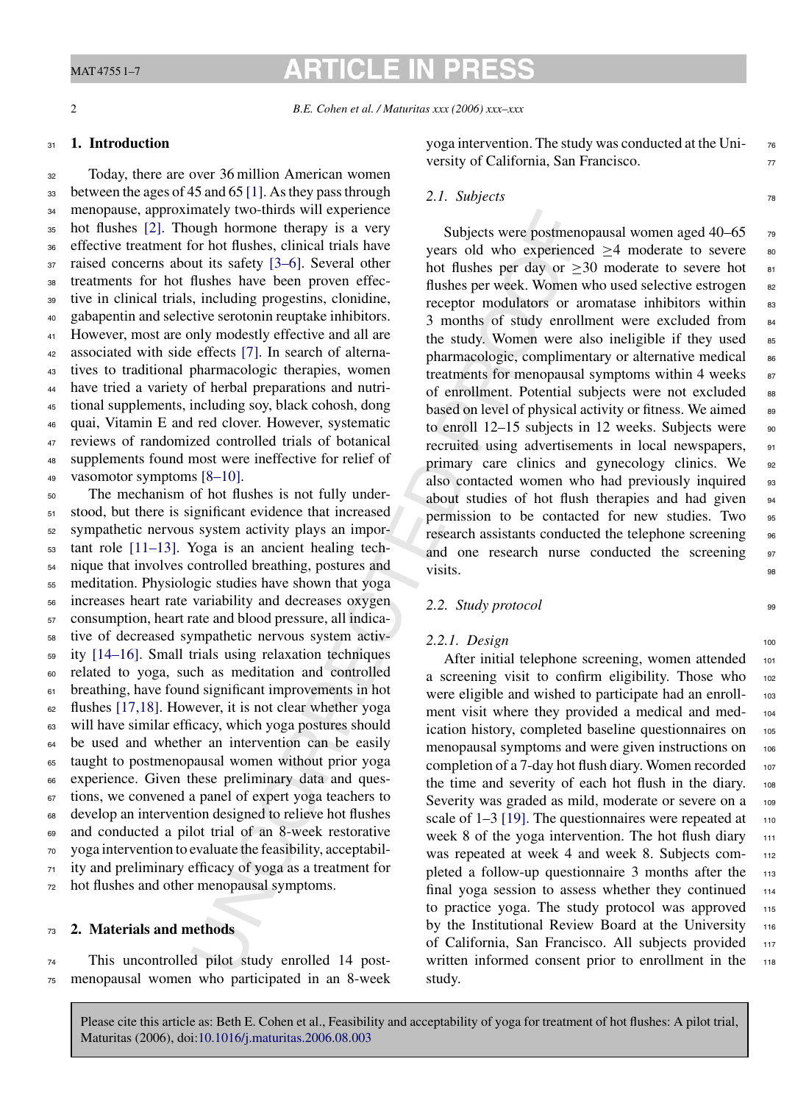# **ARTICLE IN PRESS**

#### <sup>31</sup> **1. Introduction**

 Today, there are over 36 million American women between the ages of 45 and 65 [\[1\]. A](#page-5-0)s they pass through menopause, approximately two-thirds will experience hot flushes [\[2\].](#page-5-0) Though hormone therapy is a very effective treatment for hot flushes, clinical trials have raised concerns about its safety [3–6]. Several other treatments for hot flushes have been proven effec- tive in clinical trials, including progestins, clonidine, gabapentin and selective serotonin reuptake inhibitors. However, most are only modestly effective and all are associated with side effects [7]. In search of alterna- tives to traditional pharmacologic therapies, women have tried a variety of herbal preparations and nutri- tional supplements, including soy, black cohosh, dong quai, Vitamin E and red clover. However, systematic reviews of randomized controlled trials of botanical supplements found most were ineffective for relief of vasomotor symptoms [8–10].

matery two-turns with experience<br>with the presence thereshog in the steel of the the second to the steely is a very<br>of this have years of the dusks per veek. Women the flushes have been proven effect-<br>flushes chanced this The mechanism of hot flushes is not fully under- stood, but there is significant evidence that increased sympathetic nervous system activity plays an impor- tant role [\[11–13\].](#page-5-0) Yoga is an ancient healing tech- nique that involves controlled breathing, postures and meditation. Physiologic studies have shown that yoga increases heart rate variability and decreases oxygen consumption, heart rate and blood pressure, all indica- tive of decreased sympathetic nervous system activ- ity [\[14–16\].](#page-5-0) Small trials using relaxation techniques related to yoga, such as meditation and controlled breathing, have found significant improvements in hot flushes [\[17,18\].](#page-6-0) However, it is not clear whether yoga will have similar efficacy, which yoga postures should be used and whether an intervention can be easily taught to postmenopausal women without prior yoga experience. Given these preliminary data and ques- tions, we convened a panel of expert yoga teachers to develop an intervention designed to relieve hot flushes and conducted a pilot trial of an 8-week restorative yoga intervention to evaluate the feasibility, acceptabil- ity and preliminary efficacy of yoga as a treatment for hot flushes and other menopausal symptoms.

#### <sup>73</sup> **2. Materials and methods**

<sup>74</sup> This uncontrolled pilot study enrolled 14 post-<sup>75</sup> menopausal women who participated in an 8-week yoga intervention. The study was conducted at the Uni- <sup>76</sup> versity of California, San Francisco.

## 2.1. Subjects <sup>78</sup>

Subjects were postmenopausal women aged 40–65  $\frac{1}{79}$ years old who experienced  $>4$  moderate to severe  $80$ hot flushes per day or  $>30$  moderate to severe hot  $_{81}$ flushes per week. Women who used selective estrogen as receptor modulators or aromatase inhibitors within 83 3 months of study enrollment were excluded from <sup>84</sup> the study. Women were also ineligible if they used  $85$ pharmacologic, complimentary or alternative medical 86 treatments for menopausal symptoms within 4 weeks  $87$ of enrollment. Potential subjects were not excluded 88 based on level of physical activity or fitness. We aimed as to enroll  $12-15$  subjects in 12 weeks. Subjects were  $90$ recruited using advertisements in local newspapers, 91 primary care clinics and gynecology clinics. We 92 also contacted women who had previously inquired 93 about studies of hot flush therapies and had given permission to be contacted for new studies. Two 95 research assistants conducted the telephone screening 96 and one research nurse conducted the screening 97 visits.

#### *2.2. Study protocol* <sup>99</sup>

#### 2.2.1. Design 100

After initial telephone screening, women attended 101 a screening visit to confirm eligibility. Those who 102 were eligible and wished to participate had an enroll- 103 ment visit where they provided a medical and med- <sup>104</sup> ication history, completed baseline questionnaires on 105 menopausal symptoms and were given instructions on 106 completion of a 7-day hot flush diary. Women recorded 107 the time and severity of each hot flush in the diary. <sup>108</sup> Severity was graded as mild, moderate or severe on a 109 scale of  $1-3$  [19]. The questionnaires were repeated at  $110$ week 8 of the yoga intervention. The hot flush diary 111 was repeated at week 4 and week 8. Subjects completed a follow-up questionnaire 3 months after the 113 final yoga session to assess whether they continued 114 to practice yoga. The study protocol was approved  $115$ by the Institutional Review Board at the University 116 of California, San Francisco. All subjects provided 117 written informed consent prior to enrollment in the 118 study.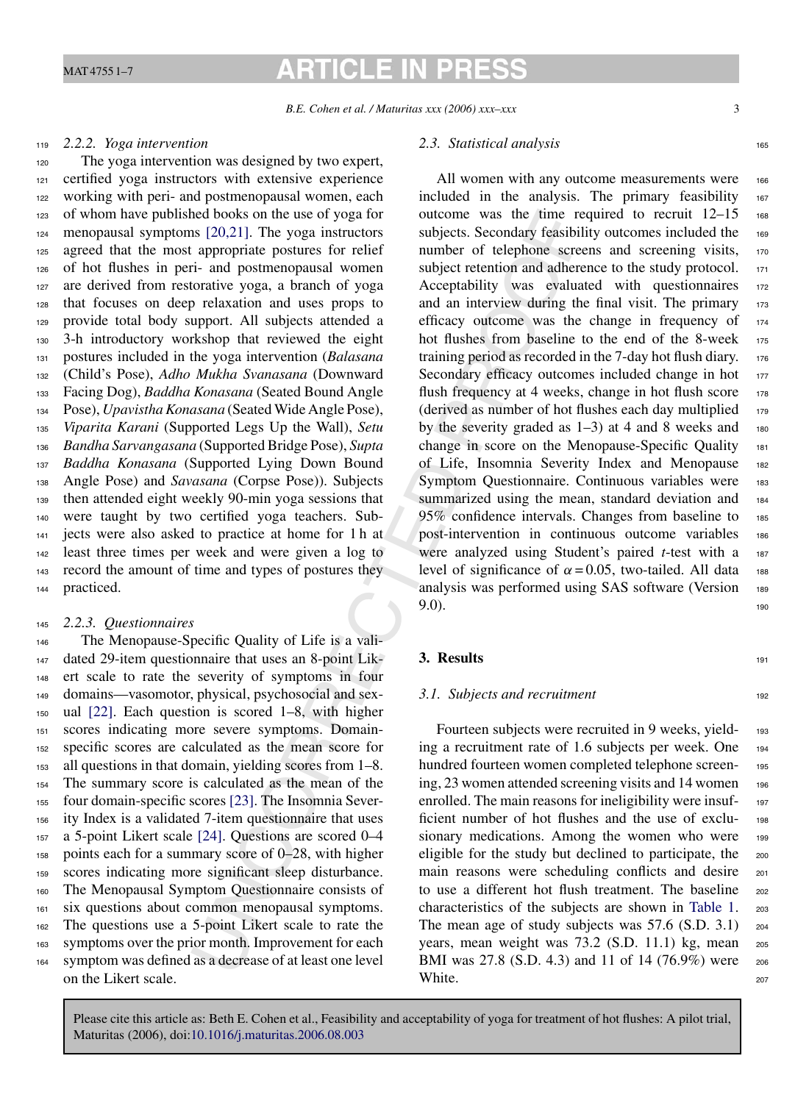## **ARTICLE IN PRE**

*B.E. Cohen et al. / Maturitas xxx (2006) xxx–xxx* 3

ned books on the use of yoga for<br>near the use of the paper and the singlets. Secondary fersibil<br>appropriate postures sometic and between the and positive responsively to the synchronic population and the synchronic subject The yoga intervention was designed by two expert, certified yoga instructors with extensive experience working with peri- and postmenopausal women, each of whom have published books on the use of yoga for menopausal symptoms [20,21]. The yoga instructors agreed that the most appropriate postures for relief of hot flushes in peri- and postmenopausal women are derived from restorative yoga, a branch of yoga that focuses on deep relaxation and uses props to provide total body support. All subjects attended a 3-h introductory workshop that reviewed the eight postures included in the yoga intervention (*Balasana* (Child's Pose), *Adho Mukha Svanasana* (Downward Facing Dog), *Baddha Konasana* (Seated Bound Angle Pose), *Upavistha Konasana* (Seated Wide Angle Pose), *Viparita Karani* (Supported Legs Up the Wall), *Setu Bandha Sarvangasana* (Supported Bridge Pose), *Supta Baddha Konasana* (Supported Lying Down Bound Angle Pose) and *Savasana* (Corpse Pose)). Subjects then attended eight weekly 90-min yoga sessions that were taught by two certified yoga teachers. Sub- jects were also asked to practice at home for 1 h at least three times per week and were given a log to record the amount of time and types of postures they practiced.

#### <sup>145</sup> *2.2.3. Questionnaires*

 The Menopause-Specific Quality of Life is a vali- dated 29-item questionnaire that uses an 8-point Lik- ert scale to rate the severity of symptoms in four domains—vasomotor, physical, psychosocial and sex- ual [\[22\].](#page-6-0) Each question is scored 1–8, with higher scores indicating more severe symptoms. Domain- specific scores are calculated as the mean score for all questions in that domain, yielding scores from 1–8. The summary score is calculated as the mean of the four domain-specific scores [23]. The Insomnia Sever- ity Index is a validated 7-item questionnaire that uses a 5-point Likert scale [24]. Questions are scored 0–4 points each for a summary score of 0–28, with higher scores indicating more significant sleep disturbance. The Menopausal Symptom Questionnaire consists of six questions about common menopausal symptoms. The questions use a 5-point Likert scale to rate the symptoms over the prior month. Improvement for each symptom was defined as a decrease of at least one level on the Likert scale.

#### 2.3. Statistical analysis 165

All women with any outcome measurements were 166 included in the analysis. The primary feasibility 167 outcome was the time required to recruit  $12-15$  168 subjects. Secondary feasibility outcomes included the 169 number of telephone screens and screening visits, 170 subject retention and adherence to the study protocol. 171 Acceptability was evaluated with questionnaires 172 and an interview during the final visit. The primary  $173$ efficacy outcome was the change in frequency of <sup>174</sup> hot flushes from baseline to the end of the 8-week 175 training period as recorded in the  $7$ -day hot flush diary.  $176$ Secondary efficacy outcomes included change in hot 177 flush frequency at 4 weeks, change in hot flush score  $178$ (derived as number of hot flushes each day multiplied  $_{179}$ by the severity graded as  $1-3$ ) at 4 and 8 weeks and 180 change in score on the Menopause-Specific Quality <sup>181</sup> of Life, Insomnia Severity Index and Menopause <sup>182</sup> Symptom Questionnaire. Continuous variables were 183 summarized using the mean, standard deviation and 184 95% confidence intervals. Changes from baseline to 185 post-intervention in continuous outcome variables <sup>186</sup> were analyzed using Student's paired *t*-test with a 187 level of significance of  $\alpha = 0.05$ , two-tailed. All data 188 analysis was performed using SAS software (Version 189  $9.0$ ).

#### **3. Results** 191

#### *3.1. Subjects and recruitment* 192

Fourteen subjects were recruited in 9 weeks, yielding a recruitment rate of 1.6 subjects per week. One <sup>194</sup> hundred fourteen women completed telephone screen- <sup>195</sup> ing, 23 women attended screening visits and 14 women 196 enrolled. The main reasons for ineligibility were insufficient number of hot flushes and the use of exclu- <sup>198</sup> sionary medications. Among the women who were 199 eligible for the study but declined to participate, the 200 main reasons were scheduling conflicts and desire 201 to use a different hot flush treatment. The baseline 202 characteristics of the subjects are shown in [Table 1.](#page-3-0) <sup>203</sup> The mean age of study subjects was 57.6 (S.D. 3.1) 204 years, mean weight was 73.2 (S.D. 11.1) kg, mean <sup>205</sup> BMI was 27.8 (S.D. 4.3) and 11 of 14 (76.9%) were 206 White.  $207$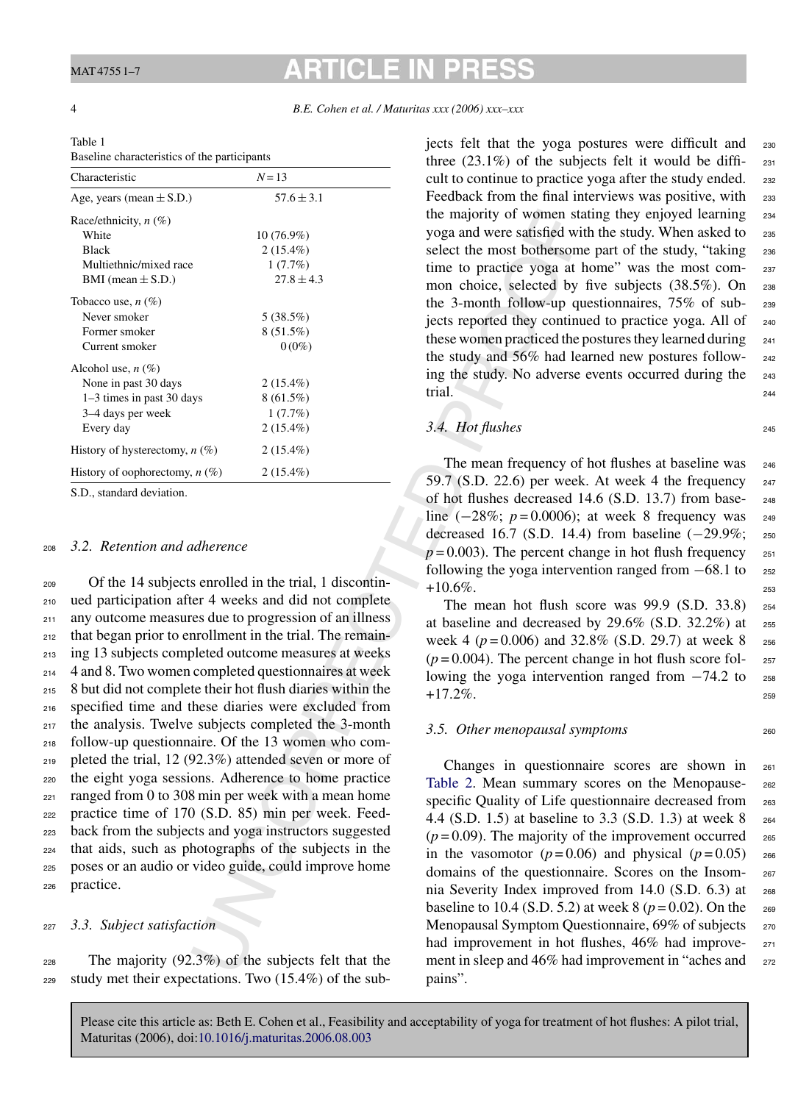# **ARTICLE IN PR**

<span id="page-3-0"></span>

#### 4 *B.E. Cohen et al. / Maturitas xxx (2006) xxx–xxx*

| Table 1                                      |
|----------------------------------------------|
| Baseline characteristics of the narticinants |

| Characteristic                   | $N=13$         |  |
|----------------------------------|----------------|--|
| Age, years (mean $\pm$ S.D.)     | $57.6 \pm 3.1$ |  |
| Race/ethnicity, $n$ (%)          |                |  |
| White                            | $10(76.9\%)$   |  |
| <b>Black</b>                     | $2(15.4\%)$    |  |
| Multiethnic/mixed race           | 1(7.7%)        |  |
| BMI (mean $\pm$ S.D.)            | $27.8 \pm 4.3$ |  |
| Tobacco use, $n(\%)$             |                |  |
| Never smoker                     | 5(38.5%)       |  |
| Former smoker                    | $8(51.5\%)$    |  |
| Current smoker                   | $0(0\%)$       |  |
| Alcohol use, $n(\%)$             |                |  |
| None in past 30 days             | $2(15.4\%)$    |  |
| 1–3 times in past 30 days        | $8(61.5\%)$    |  |
| 3–4 days per week                | 1(7.7%)        |  |
| Every day                        | $2(15.4\%)$    |  |
| History of hysterectomy, $n$ (%) | $2(15.4\%)$    |  |
| History of oophorectomy, $n(\%)$ | $2(15.4\%)$    |  |

S.D., standard deviation.

#### <sup>208</sup> *3.2. Retention and adherence*

 $(76.9\%)$ <br>  $(7.7\%)$ <br>  $(7.7\%)$ <br>  $(7.7\%)$ <br>  $(7.7\%)$ <br>  $(7.7\%)$ <br>  $(7.7\%)$ <br>  $(7.7\%)$ <br>  $(7.7\%)$ <br>  $(8.15.5\%)$ <br>  $(8.15.7\%)$ <br>  $(8.15.7\%)$ <br>  $(8.15.7\%)$ <br>  $(8.15.7\%)$ <br>  $(8.15.7\%)$ <br>  $(8.15.7\%)$ <br>  $(9.15.4\%)$ <br>  $(9.15.4\%)$ <br>  $(17.7\%)$ <br> Of the 14 subjects enrolled in the trial, 1 discontin- ued participation after 4 weeks and did not complete 211 any outcome measures due to progression of an illness that began prior to enrollment in the trial. The remain- ing 13 subjects completed outcome measures at weeks 4 and 8. Two women completed questionnaires at week 8 but did not complete their hot flush diaries within the specified time and these diaries were excluded from the analysis. Twelve subjects completed the 3-month follow-up questionnaire. Of the 13 women who com- pleted the trial, 12 (92.3%) attended seven or more of the eight yoga sessions. Adherence to home practice ranged from 0 to 308 min per week with a mean home practice time of 170 (S.D. 85) min per week. Feed- back from the subjects and yoga instructors suggested that aids, such as photographs of the subjects in the poses or an audio or video guide, could improve home practice.

#### <sup>227</sup> *3.3. Subject satisfaction*

<sup>228</sup> The majority (92.3%) of the subjects felt that the <sup>229</sup> study met their expectations. Two (15.4%) of the subjects felt that the yoga postures were difficult and <sup>230</sup> three  $(23.1\%)$  of the subjects felt it would be diffi- 231 cult to continue to practice yoga after the study ended. 232 Feedback from the final interviews was positive, with 233 the majority of women stating they enjoyed learning 234 yoga and were satisfied with the study. When asked to <sup>235</sup> select the most bothersome part of the study, "taking 236 time to practice yoga at home" was the most common choice, selected by five subjects (38.5%). On 238 the 3-month follow-up questionnaires, 75% of sub- <sup>239</sup> jects reported they continued to practice yoga. All of <sup>240</sup> these women practiced the postures they learned during 241 the study and 56% had learned new postures follow- <sup>242</sup> ing the study. No adverse events occurred during the <sup>243</sup> trial.

#### *3.4. Hot flushes* <sup>245</sup>

The mean frequency of hot flushes at baseline was 246 59.7 (S.D. 22.6) per week. At week 4 the frequency  $247$ of hot flushes decreased 14.6 (S.D. 13.7) from base- <sup>248</sup> line (−28%; *p* = 0.0006); at week 8 frequency was 249 decreased 16.7 (S.D. 14.4) from baseline (−29.9%; <sup>250</sup>  $p = 0.003$ ). The percent change in hot flush frequency  $251$ following the yoga intervention ranged from  $-68.1$  to  $252$  $+10.6\%$ . 253

The mean hot flush score was  $99.9$  (S.D. 33.8)  $254$ at baseline and decreased by  $29.6\%$  (S.D. 32.2%) at  $255$ week 4 ( $p = 0.006$ ) and 32.8% (S.D. 29.7) at week 8  $_{256}$  $(p=0.004)$ . The percent change in hot flush score following the yoga intervention ranged from  $-74.2$  to  $_{258}$  $+17.2\%$ .

#### *3.5. Other menopausal symptoms* <sup>260</sup>

Changes in questionnaire scores are shown in <sup>261</sup> Table 2. Mean summary scores on the Menopause-<br>
262 specific Quality of Life questionnaire decreased from 263 4.4 (S.D. 1.5) at baseline to 3.3 (S.D. 1.3) at week 8 <sup>264</sup>  $(p=0.09)$ . The majority of the improvement occurred 265 in the vasomotor  $(p=0.06)$  and physical  $(p=0.05)$  266 domains of the questionnaire. Scores on the Insom- <sup>267</sup> nia Severity Index improved from 14.0 (S.D. 6.3) at <sup>268</sup> baseline to 10.4 (S.D. 5.2) at week 8 ( $p = 0.02$ ). On the 269 Menopausal Symptom Questionnaire, 69% of subjects 270 had improvement in hot flushes, 46% had improve- 271 ment in sleep and 46% had improvement in "aches and 272 pains".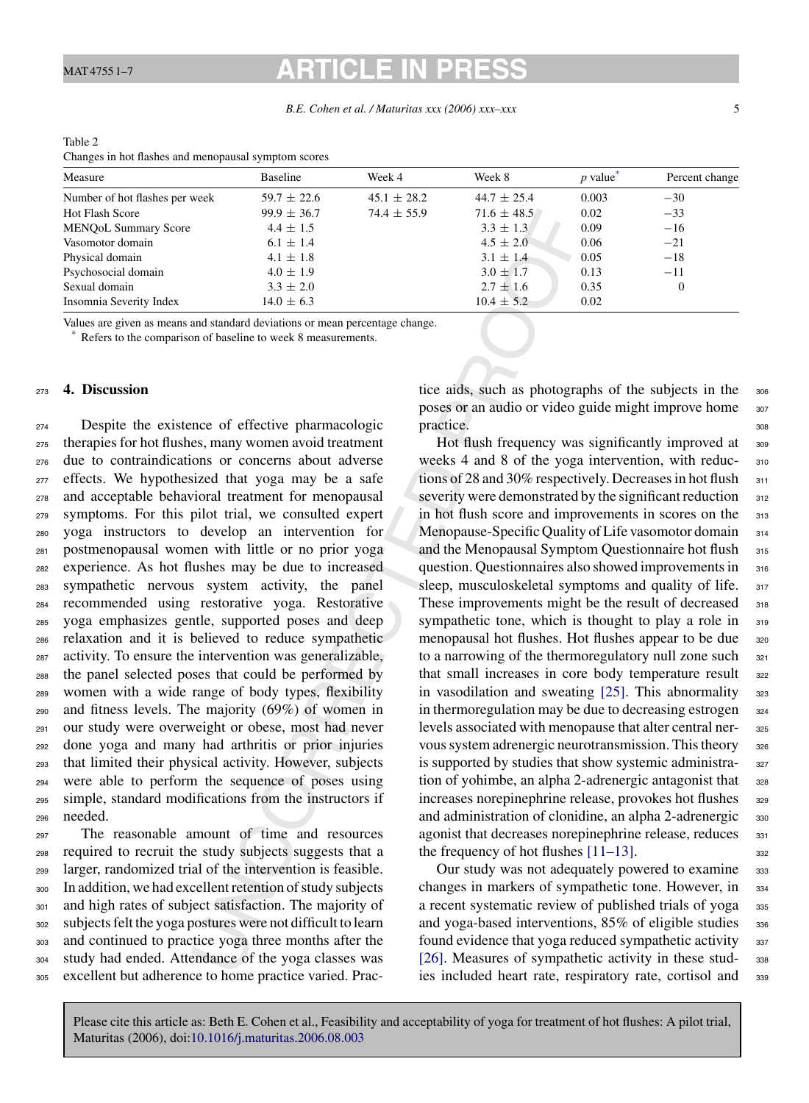*B.E. Cohen et al. / Maturitas xxx (2006) xxx–xxx* 5

| Changes in hot flashes and menopausal symptom scores |                 |                 |                 |                        |                |  |  |  |  |
|------------------------------------------------------|-----------------|-----------------|-----------------|------------------------|----------------|--|--|--|--|
| Measure                                              | <b>Baseline</b> | Week 4          | Week 8          | $p$ value <sup>*</sup> | Percent change |  |  |  |  |
| Number of hot flashes per week                       | $59.7 \pm 22.6$ | $45.1 \pm 28.2$ | $44.7 \pm 25.4$ | 0.003                  | $-30$          |  |  |  |  |
| <b>Hot Flash Score</b>                               | $99.9 \pm 36.7$ | $74.4 \pm 55.9$ | $71.6 \pm 48.5$ | 0.02                   | $-33$          |  |  |  |  |
| <b>MENOOL Summary Score</b>                          | $4.4 \pm 1.5$   |                 | $3.3 \pm 1.3$   | 0.09                   | $-16$          |  |  |  |  |
| Vasomotor domain                                     | $6.1 \pm 1.4$   |                 | $4.5 \pm 2.0$   | 0.06                   | $-21$          |  |  |  |  |
| Physical domain                                      | $4.1 \pm 1.8$   |                 | $3.1 \pm 1.4$   | 0.05                   | $-18$          |  |  |  |  |
| Psychosocial domain                                  | $4.0 \pm 1.9$   |                 | $3.0 \pm 1.7$   | 0.13                   | $-11$          |  |  |  |  |
| Sexual domain                                        | $3.3 \pm 2.0$   |                 | $2.7 \pm 1.6$   | 0.35                   | $\theta$       |  |  |  |  |
| Insomnia Severity Index                              | $14.0 \pm 6.3$  |                 | $10.4 \pm 5.2$  | 0.02                   |                |  |  |  |  |

<span id="page-4-0"></span>Table 2

Values are given as means and standard deviations or mean percentage change.

Refers to the comparison of baseline to week 8 measurements.

#### <sup>273</sup> **4. Discussion**

 $\pm$  4.4 ± 55.9<br>
4.4 ± 1.5<br>
6.1 + 1.4<br>
4.4 ± 1.5<br>
6.1 + 1.4<br>
6.1 + 1.4<br>
4.4 ± 1.5<br>
6.1 + 1.4<br>
4.0 + 1.9<br>
4.4 ± 1.8<br>
4.4 ± 1.8<br>
4.0 + 1.9<br>
4.9 = 1.0<br>
4.4 ± 1.8<br>
4.4 ± 1.8<br>
4.4 ± 1.8<br>
4.4 ± 1.8<br>
4.4 ± 1.8<br>
4.4 ± 1.8<br>
4. Despite the existence of effective pharmacologic therapies for hot flushes, many women avoid treatment due to contraindications or concerns about adverse effects. We hypothesized that yoga may be a safe and acceptable behavioral treatment for menopausal symptoms. For this pilot trial, we consulted expert yoga instructors to develop an intervention for postmenopausal women with little or no prior yoga experience. As hot flushes may be due to increased sympathetic nervous system activity, the panel recommended using restorative yoga. Restorative yoga emphasizes gentle, supported poses and deep relaxation and it is believed to reduce sympathetic activity. To ensure the intervention was generalizable, the panel selected poses that could be performed by women with a wide range of body types, flexibility and fitness levels. The majority (69%) of women in our study were overweight or obese, most had never done yoga and many had arthritis or prior injuries that limited their physical activity. However, subjects were able to perform the sequence of poses using simple, standard modifications from the instructors if <sup>296</sup> needed.

 The reasonable amount of time and resources required to recruit the study subjects suggests that a larger, randomized trial of the intervention is feasible. In addition, we had excellent retention of study subjects and high rates of subject satisfaction. The majority of subjects felt the yoga postures were not difficult to learn and continued to practice yoga three months after the study had ended. Attendance of the yoga classes was excellent but adherence to home practice varied. Practice aids, such as photographs of the subjects in the 306 poses or an audio or video guide might improve home 307 practice. 308

Hot flush frequency was significantly improved at 309 weeks 4 and 8 of the yoga intervention, with reduc-<br> $310$ tions of 28 and 30% respectively. Decreases in hot flush 311 severity were demonstrated by the significant reduction 312 in hot flush score and improvements in scores on the 313 Menopause-Specific Quality of Life vasomotor domain 314 and the Menopausal Symptom Questionnaire hot flush 315 question. Questionnaires also showed improvements in 316 sleep, musculoskeletal symptoms and quality of life. 317 These improvements might be the result of decreased 318 sympathetic tone, which is thought to play a role in 319 menopausal hot flushes. Hot flushes appear to be due 320 to a narrowing of the thermoregulatory null zone such  $321$ that small increases in core body temperature result 322 in vasodilation and sweating  $[25]$ . This abnormality  $\frac{323}{2}$ in thermoregulation may be due to decreasing estrogen 324 levels associated with menopause that alter central ner- <sup>325</sup> vous system adrenergic neurotransmission. This theory 326 is supported by studies that show systemic administra- 327 tion of yohimbe, an alpha 2-adrenergic antagonist that 328 increases norepinephrine release, provokes hot flushes 329 and administration of clonidine, an alpha 2-adrenergic 330 agonist that decreases norepinephrine release, reduces  $331$ the frequency of hot flushes  $[11-13]$ .

Our study was not adequately powered to examine 333 changes in markers of sympathetic tone. However, in <sup>334</sup> a recent systematic review of published trials of yoga 335 and yoga-based interventions,  $85\%$  of eligible studies  $336$ found evidence that yoga reduced sympathetic activity 337 [26]. Measures of sympathetic activity in these stud-<br>338 ies included heart rate, respiratory rate, cortisol and <sup>339</sup>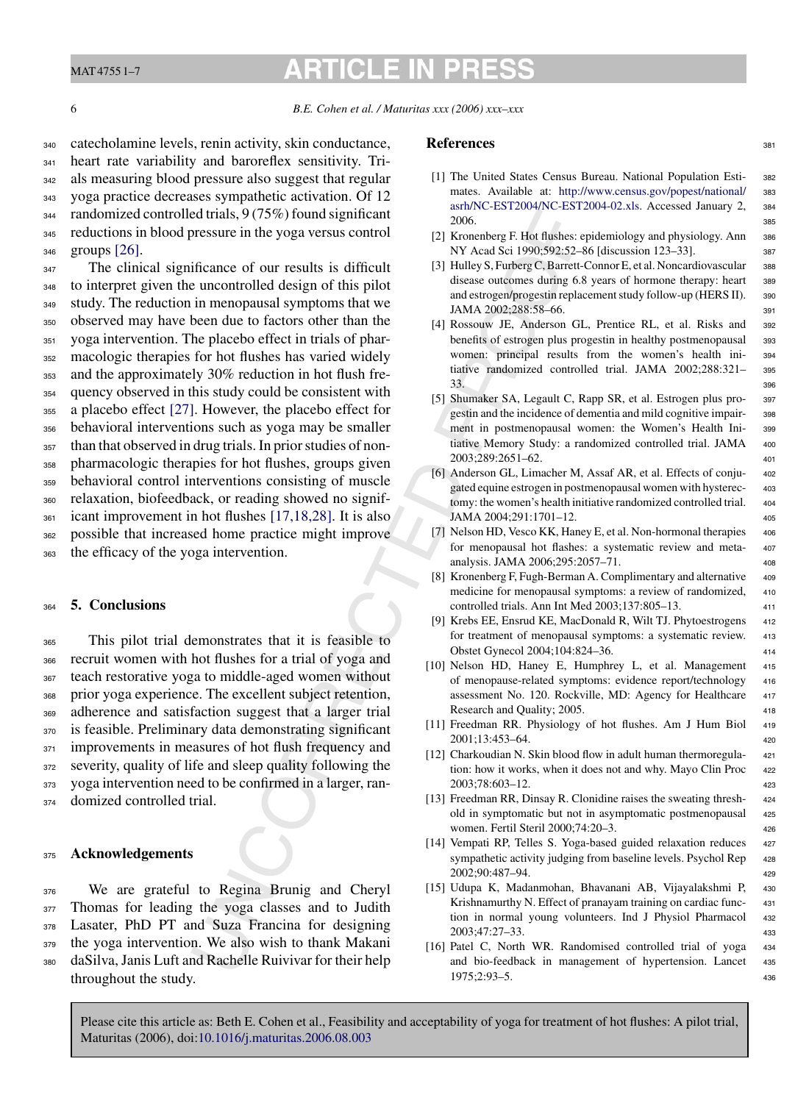<span id="page-5-0"></span>MAT 4755 1–7

# **ARTICLE IN PRE**

6 *B.E. Cohen et al. / Maturitas xxx (2006) xxx–xxx*

 catecholamine levels, renin activity, skin conductance, heart rate variability and baroreflex sensitivity. Tri- als measuring blood pressure also suggest that regular yoga practice decreases sympathetic activation. Of 12 randomized controlled trials, 9 (75%) found significant reductions in blood pressure in the yoga versus control groups [\[26\].](#page-6-0)

d trials, 9 (75%) found significant<br>
or exact and Social Society Beth and Society External tickness<br>
or exact a mean of the syopa service is difficult [3] However E is the uncontrolled design of this pilot<br>
interaporation <sup>347</sup> The clinical significance of our results is difficult to interpret given the uncontrolled design of this pilot study. The reduction in menopausal symptoms that we observed may have been due to factors other than the yoga intervention. The placebo effect in trials of phar- macologic therapies for hot flushes has varied widely and the approximately 30% reduction in hot flush fre- quency observed in this study could be consistent with a placebo effect [\[27\].](#page-6-0) However, the placebo effect for behavioral interventions such as yoga may be smaller than that observed in drug trials. In prior studies of non- pharmacologic therapies for hot flushes, groups given behavioral control interventions consisting of muscle relaxation, biofeedback, or reading showed no signif- icant improvement in hot flushes [17,18,28]. It is also possible that increased home practice might improve the efficacy of the yoga intervention.

### <sup>364</sup> **5. Conclusions**

 This pilot trial demonstrates that it is feasible to recruit women with hot flushes for a trial of yoga and teach restorative yoga to middle-aged women without prior yoga experience. The excellent subject retention, adherence and satisfaction suggest that a larger trial is feasible. Preliminary data demonstrating significant 371 improvements in measures of hot flush frequency and 372 severity, quality of life and sleep quality following the yoga intervention need to be confirmed in a larger, ran-domized controlled trial.

## <sup>375</sup> **Acknowledgements**

 We are grateful to Regina Brunig and Cheryl Thomas for leading the yoga classes and to Judith Lasater, PhD PT and Suza Francina for designing 379 the yoga intervention. We also wish to thank Makani daSilva, Janis Luft and Rachelle Ruivivar for their help throughout the study.

#### **References** 381

- [1] The United States Census Bureau. National Population Esti- <sup>382</sup> mates. Available at: [http://www.census.gov/popest/national/](http://www.census.gov/popest/national/asrh/NC-EST2004/NC-EST2004-02.xls) <sup>383</sup> [asrh/NC-EST2004/NC-EST2004-02.xls](http://www.census.gov/popest/national/asrh/NC-EST2004/NC-EST2004-02.xls). Accessed January 2, <sup>384</sup> 2006. <sup>385</sup>
- [2] Kronenberg F. Hot flushes: epidemiology and physiology. Ann 386 NY Acad Sci 1990;592:52–86 [discussion 123–33]. 387
- [3] Hulley S, Furberg C, Barrett-Connor E, et al. Noncardiovascular 388 disease outcomes during 6.8 years of hormone therapy: heart 389 and estrogen/progestin replacement study follow-up (HERS II). <sup>390</sup> JAMA 2002:288:58-66. 391
- [4] Rossouw JE, Anderson GL, Prentice RL, et al. Risks and <sup>392</sup> benefits of estrogen plus progestin in healthy postmenopausal 393 women: principal results from the women's health ini- <sup>394</sup> tiative randomized controlled trial. JAMA 2002;288:321– <sup>395</sup>  $33.$   $396$
- [5] Shumaker SA, Legault C, Rapp SR, et al. Estrogen plus pro- <sup>397</sup> gestin and the incidence of dementia and mild cognitive impair- <sup>398</sup> ment in postmenopausal women: the Women's Health Ini- <sup>399</sup> tiative Memory Study: a randomized controlled trial. JAMA 400 2003;289:2651–62. <sup>401</sup>
- [6] Anderson GL, Limacher M, Assaf AR, et al. Effects of conju-<br>402 gated equine estrogen in postmenopausal women with hysterec- <sup>403</sup> tomy: the women's health initiative randomized controlled trial. 404 JAMA 2004;291:1701–12. <sup>405</sup>
- [7] Nelson HD, Vesco KK, Haney E, et al. Non-hormonal therapies 406 for menopausal hot flashes: a systematic review and meta- <sup>407</sup> analysis. JAMA 2006;295:2057–71. <sup>408</sup>
- [8] Kronenberg F, Fugh-Berman A. Complimentary and alternative 409 medicine for menopausal symptoms: a review of randomized, 410 controlled trials. Ann Int Med 2003;137:805–13. <sup>411</sup>
- [9] Krebs EE, Ensrud KE, MacDonald R, Wilt TJ. Phytoestrogens 412 for treatment of menopausal symptoms: a systematic review. 413 Obstet Gynecol 2004;104:824–36. <sup>414</sup>
- [10] Nelson HD, Haney E, Humphrey L, et al. Management 415 of menopause-related symptoms: evidence report/technology <sup>416</sup> assessment No. 120. Rockville, MD: Agency for Healthcare 417 Research and Ouality: 2005. 418
- [11] Freedman RR. Physiology of hot flushes. Am J Hum Biol 419 2001:13:453–64. 420
- [12] Charkoudian N. Skin blood flow in adult human thermoregula- <sup>421</sup> tion: how it works, when it does not and why. Mayo Clin Proc <sup>422</sup> 2003;78:603–12. <sup>423</sup>
- [13] Freedman RR, Dinsay R. Clonidine raises the sweating thresh- 424 old in symptomatic but not in asymptomatic postmenopausal <sup>425</sup> women. Fertil Steril 2000;74:20–3. <sup>426</sup>
- [14] Vempati RP, Telles S. Yoga-based guided relaxation reduces 427 sympathetic activity judging from baseline levels. Psychol Rep 428 2002;90:487–94. <sup>429</sup>
- [15] Udupa K, Madanmohan, Bhavanani AB, Vijayalakshmi P, <sup>430</sup> Krishnamurthy N. Effect of pranayam training on cardiac func-<br>431 tion in normal young volunteers. Ind J Physiol Pharmacol <sup>432</sup> 2003;47:27–33. <sup>433</sup>
- [16] Patel C, North WR. Randomised controlled trial of yoga 434 and bio-feedback in management of hypertension. Lancet <sup>435</sup> 1975;2:93–5. <sup>436</sup>